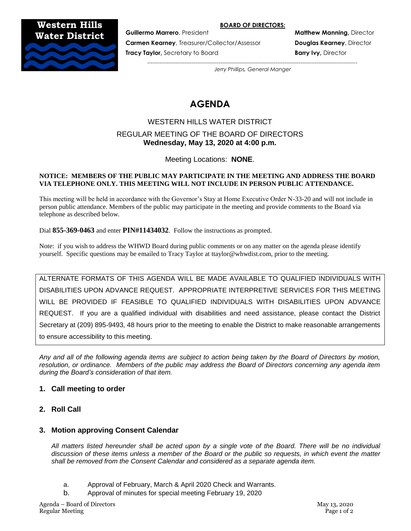#### **BOARD OF DIRECTORS:**

**Western Hills Water District**



**Carmen Kearney**, Treasurer/Collector/Assessor **Douglas Kearney**, Director **Tracy Taylor,** Secretary to Board **Barry Ivy, Director and Barry Ivy, Director** 

**Guillermo Marrero**, President **Matthew Manning, Director** 

*---------------------------------------------------------------------------------------------------------------------- Jerry Phillips, General Manger*

# **AGENDA**

# WESTERN HILLS WATER DISTRICT REGULAR MEETING OF THE BOARD OF DIRECTORS **Wednesday, May 13, 2020 at 4:00 p.m.**

Meeting Locations: **NONE**.

#### **NOTICE: MEMBERS OF THE PUBLIC MAY PARTICIPATE IN THE MEETING AND ADDRESS THE BOARD VIA TELEPHONE ONLY. THIS MEETING WILL NOT INCLUDE IN PERSON PUBLIC ATTENDANCE.**

This meeting will be held in accordance with the Governor's Stay at Home Executive Order N-33-20 and will not include in person public attendance. Members of the public may participate in the meeting and provide comments to the Board via telephone as described below.

Dial **855-369-0463** and enter **PIN#11434032**. Follow the instructions as prompted.

Note: if you wish to address the WHWD Board during public comments or on any matter on the agenda please identify yourself. Specific questions may be emailed to Tracy Taylor at ttaylor@whwdist.com, prior to the meeting.

ALTERNATE FORMATS OF THIS AGENDA WILL BE MADE AVAILABLE TO QUALIFIED INDIVIDUALS WITH DISABILITIES UPON ADVANCE REQUEST. APPROPRIATE INTERPRETIVE SERVICES FOR THIS MEETING WILL BE PROVIDED IF FEASIBLE TO QUALIFIED INDIVIDUALS WITH DISABILITIES UPON ADVANCE REQUEST. If you are a qualified individual with disabilities and need assistance, please contact the District Secretary at (209) 895-9493, 48 hours prior to the meeting to enable the District to make reasonable arrangements to ensure accessibility to this meeting.

*Any and all of the following agenda items are subject to action being taken by the Board of Directors by motion, resolution, or ordinance. Members of the public may address the Board of Directors concerning any agenda item during the Board's consideration of that item.*

# **1. Call meeting to order**

**2. Roll Call**

# **3. Motion approving Consent Calendar**

*All matters listed hereunder shall be acted upon by a single vote of the Board. There will be no individual discussion of these items unless a member of the Board or the public so requests, in which event the matter shall be removed from the Consent Calendar and considered as a separate agenda item.*

- a. Approval of February, March & April 2020 Check and Warrants.
- b. Approval of minutes for special meeting February 19, 2020

Agenda – Board of Directors May 13, 2020 Regular Meeting Page 1 of 2